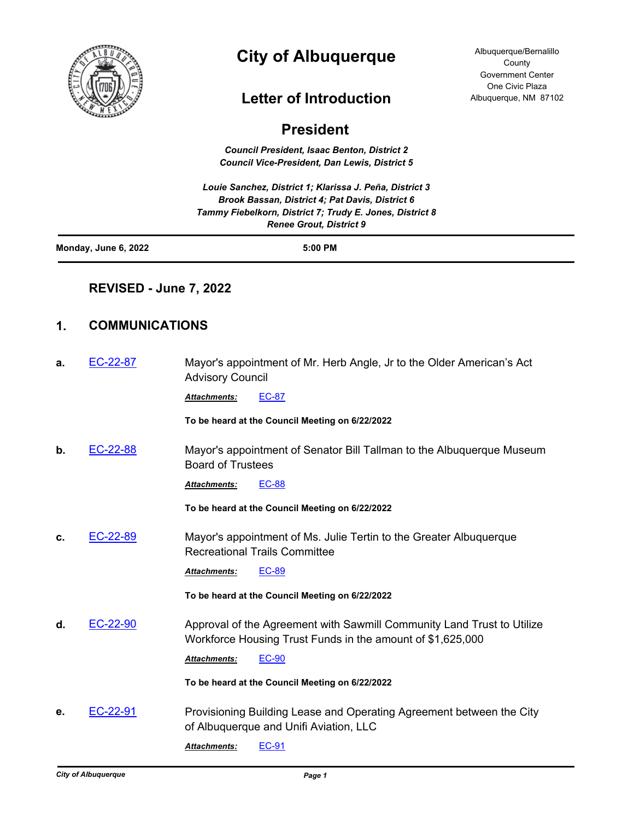

# **City of Albuquerque**

## **Letter of Introduction**

Albuquerque/Bernalillo **County** Government Center One Civic Plaza Albuquerque, NM 87102

## **President**

*Council President, Isaac Benton, District 2 Council Vice-President, Dan Lewis, District 5*

*Louie Sanchez, District 1; Klarissa J. Peña, District 3 Brook Bassan, District 4; Pat Davis, District 6 Tammy Fiebelkorn, District 7; Trudy E. Jones, District 8 Renee Grout, District 9*

| Monday, June 6, 2022 | 5:00 PM |
|----------------------|---------|
|                      |         |

### **REVISED - June 7, 2022**

## **1. COMMUNICATIONS**

| а. | EC-22-87 | Mayor's appointment of Mr. Herb Angle, Jr to the Older American's Act<br><b>Advisory Council</b>                                     |
|----|----------|--------------------------------------------------------------------------------------------------------------------------------------|
|    |          | <b>EC-87</b><br>Attachments:                                                                                                         |
|    |          | To be heard at the Council Meeting on 6/22/2022                                                                                      |
| b. | EC-22-88 | Mayor's appointment of Senator Bill Tallman to the Albuquerque Museum<br><b>Board of Trustees</b>                                    |
|    |          | <b>EC-88</b><br>Attachments:                                                                                                         |
|    |          | To be heard at the Council Meeting on 6/22/2022                                                                                      |
| C. | EC-22-89 | Mayor's appointment of Ms. Julie Tertin to the Greater Albuquerque<br><b>Recreational Trails Committee</b>                           |
|    |          | EC-89<br>Attachments:                                                                                                                |
|    |          | To be heard at the Council Meeting on 6/22/2022                                                                                      |
| d. | EC-22-90 | Approval of the Agreement with Sawmill Community Land Trust to Utilize<br>Workforce Housing Trust Funds in the amount of \$1,625,000 |
|    |          | <b>EC-90</b><br><b>Attachments:</b>                                                                                                  |
|    |          | To be heard at the Council Meeting on 6/22/2022                                                                                      |
| е. | EC-22-91 | Provisioning Building Lease and Operating Agreement between the City<br>of Albuquerque and Unifi Aviation, LLC                       |
|    |          | <b>EC-91</b><br><b>Attachments:</b>                                                                                                  |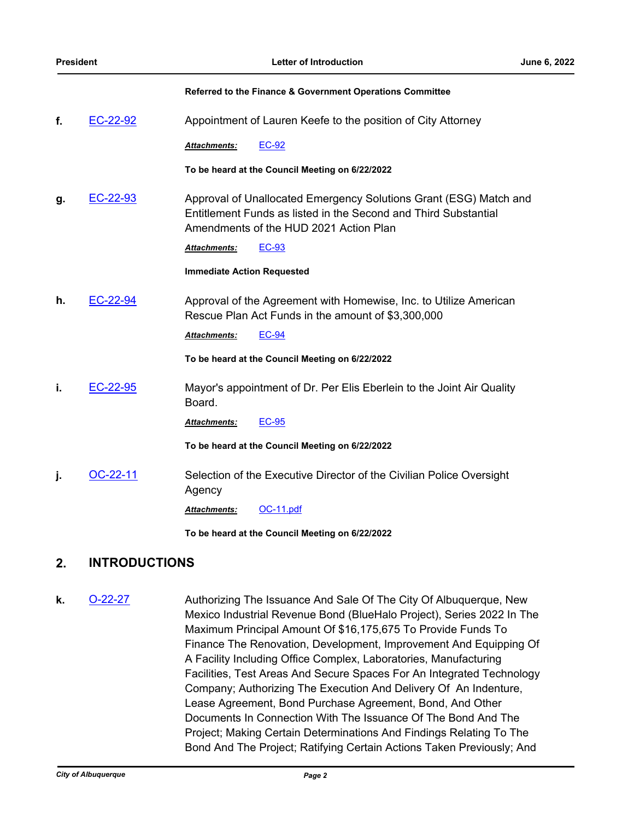|    |            | Referred to the Finance & Government Operations Committee                                                                                                                      |
|----|------------|--------------------------------------------------------------------------------------------------------------------------------------------------------------------------------|
| f. | EC-22-92   | Appointment of Lauren Keefe to the position of City Attorney                                                                                                                   |
|    |            | <b>EC-92</b><br><b>Attachments:</b>                                                                                                                                            |
|    |            | To be heard at the Council Meeting on 6/22/2022                                                                                                                                |
| g. | EC-22-93   | Approval of Unallocated Emergency Solutions Grant (ESG) Match and<br>Entitlement Funds as listed in the Second and Third Substantial<br>Amendments of the HUD 2021 Action Plan |
|    |            | <b>EC-93</b><br><b>Attachments:</b>                                                                                                                                            |
|    |            | <b>Immediate Action Requested</b>                                                                                                                                              |
| h. | EC-22-94   | Approval of the Agreement with Homewise, Inc. to Utilize American<br>Rescue Plan Act Funds in the amount of \$3,300,000                                                        |
|    |            | <b>EC-94</b><br><b>Attachments:</b>                                                                                                                                            |
|    |            | To be heard at the Council Meeting on 6/22/2022                                                                                                                                |
| i. | EC-22-95   | Mayor's appointment of Dr. Per Elis Eberlein to the Joint Air Quality<br>Board.                                                                                                |
|    |            | <b>EC-95</b><br><b>Attachments:</b>                                                                                                                                            |
|    |            | To be heard at the Council Meeting on 6/22/2022                                                                                                                                |
| j. | $OC-22-11$ | Selection of the Executive Director of the Civilian Police Oversight<br>Agency                                                                                                 |
|    |            | OC-11.pdf<br><b>Attachments:</b>                                                                                                                                               |
|    |            | To be heard at the Council Meeting on 6/22/2022                                                                                                                                |

## **2. INTRODUCTIONS**

**k. [O-22-27](http://cabq.legistar.com/gateway.aspx?m=l&id=/matter.aspx?key=12949)** Authorizing The Issuance And Sale Of The City Of Albuquerque, New Mexico Industrial Revenue Bond (BlueHalo Project), Series 2022 In The Maximum Principal Amount Of \$16,175,675 To Provide Funds To Finance The Renovation, Development, Improvement And Equipping Of A Facility Including Office Complex, Laboratories, Manufacturing Facilities, Test Areas And Secure Spaces For An Integrated Technology Company; Authorizing The Execution And Delivery Of An Indenture, Lease Agreement, Bond Purchase Agreement, Bond, And Other Documents In Connection With The Issuance Of The Bond And The Project; Making Certain Determinations And Findings Relating To The Bond And The Project; Ratifying Certain Actions Taken Previously; And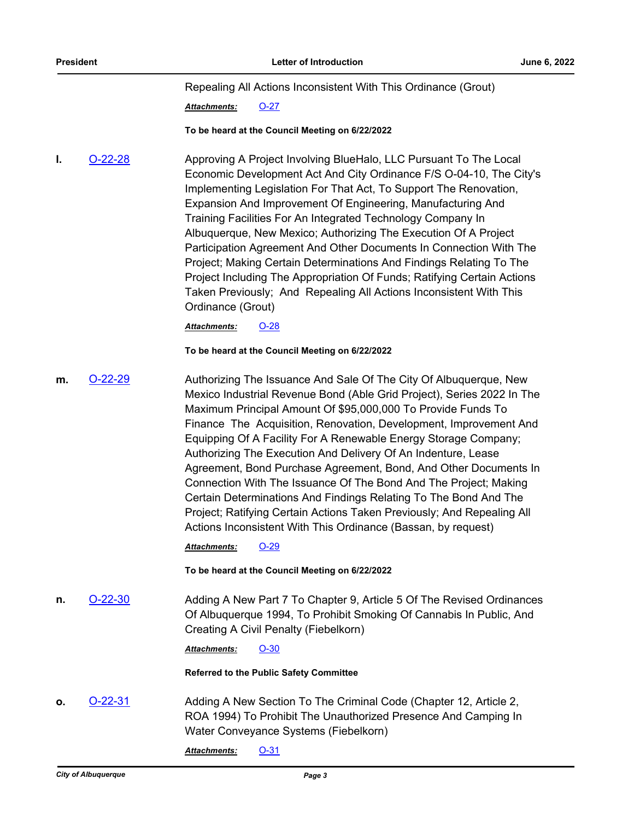Repealing All Actions Inconsistent With This Ordinance (Grout)

*Attachments:* [O-27](http://cabq.legistar.com/gateway.aspx?M=F&ID=afff0ff5-9676-4205-abdf-9401b2beafc0.pdf)

#### **To be heard at the Council Meeting on 6/22/2022**

**I. [O-22-28](http://cabq.legistar.com/gateway.aspx?m=l&id=/matter.aspx?key=12950)** Approving A Project Involving BlueHalo, LLC Pursuant To The Local Economic Development Act And City Ordinance F/S O-04-10, The City's Implementing Legislation For That Act, To Support The Renovation, Expansion And Improvement Of Engineering, Manufacturing And Training Facilities For An Integrated Technology Company In Albuquerque, New Mexico; Authorizing The Execution Of A Project Participation Agreement And Other Documents In Connection With The Project; Making Certain Determinations And Findings Relating To The Project Including The Appropriation Of Funds; Ratifying Certain Actions Taken Previously; And Repealing All Actions Inconsistent With This Ordinance (Grout)

*Attachments:* [O-28](http://cabq.legistar.com/gateway.aspx?M=F&ID=5834f78f-2ef8-4fdc-8a5e-ac17cfdcdf40.pdf)

#### **To be heard at the Council Meeting on 6/22/2022**

**m.** [O-22-29](http://cabq.legistar.com/gateway.aspx?m=l&id=/matter.aspx?key=12951) Authorizing The Issuance And Sale Of The City Of Albuquerque, New Mexico Industrial Revenue Bond (Able Grid Project), Series 2022 In The Maximum Principal Amount Of \$95,000,000 To Provide Funds To Finance The Acquisition, Renovation, Development, Improvement And Equipping Of A Facility For A Renewable Energy Storage Company; Authorizing The Execution And Delivery Of An Indenture, Lease Agreement, Bond Purchase Agreement, Bond, And Other Documents In Connection With The Issuance Of The Bond And The Project; Making Certain Determinations And Findings Relating To The Bond And The Project; Ratifying Certain Actions Taken Previously; And Repealing All Actions Inconsistent With This Ordinance (Bassan, by request)

*Attachments:* [O-29](http://cabq.legistar.com/gateway.aspx?M=F&ID=4bf49435-a6b8-4b0a-8208-dee0ec4725ce.pdf)

#### **To be heard at the Council Meeting on 6/22/2022**

**n. [O-22-30](http://cabq.legistar.com/gateway.aspx?m=l&id=/matter.aspx?key=12959)** Adding A New Part 7 To Chapter 9, Article 5 Of The Revised Ordinances Of Albuquerque 1994, To Prohibit Smoking Of Cannabis In Public, And Creating A Civil Penalty (Fiebelkorn)

*Attachments:* [O-30](http://cabq.legistar.com/gateway.aspx?M=F&ID=b62990ee-1d15-44e5-affb-bb48fbe242e3.pdf)

#### **Referred to the Public Safety Committee**

**o. [O-22-31](http://cabq.legistar.com/gateway.aspx?m=l&id=/matter.aspx?key=12964)** Adding A New Section To The Criminal Code (Chapter 12, Article 2, ROA 1994) To Prohibit The Unauthorized Presence And Camping In Water Conveyance Systems (Fiebelkorn)

*Attachments:* [O-31](http://cabq.legistar.com/gateway.aspx?M=F&ID=0e826c04-2940-4801-9cfd-5c96e1527fb6.pdf)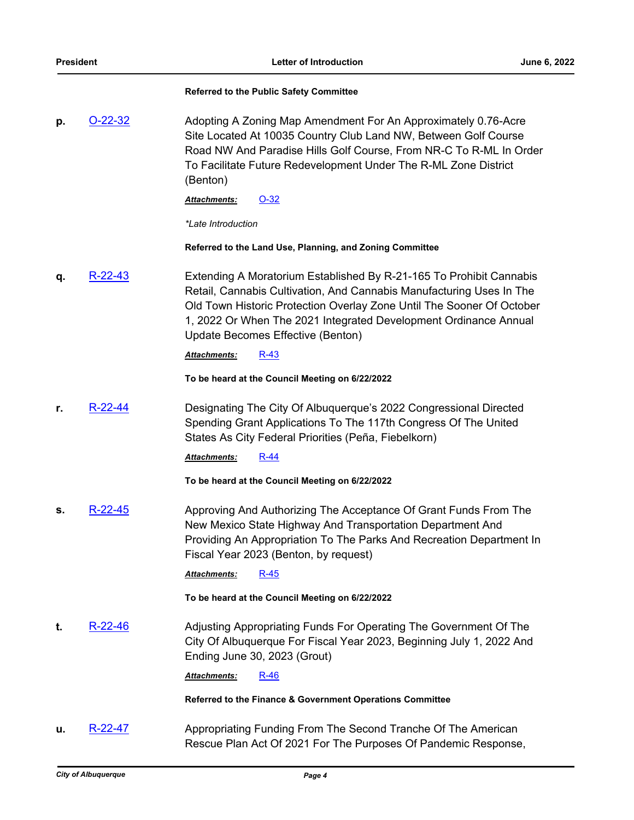#### **Referred to the Public Safety Committee**

**p.** [O-22-32](http://cabq.legistar.com/gateway.aspx?m=l&id=/matter.aspx?key=12970) Adopting A Zoning Map Amendment For An Approximately 0.76-Acre Site Located At 10035 Country Club Land NW, Between Golf Course Road NW And Paradise Hills Golf Course, From NR-C To R-ML In Order To Facilitate Future Redevelopment Under The R-ML Zone District (Benton)

*Attachments:* [O-32](http://cabq.legistar.com/gateway.aspx?M=F&ID=d14d522a-2eec-4e0f-a0f4-13432d6c7abb.pdf)

*\*Late Introduction*

**Referred to the Land Use, Planning, and Zoning Committee**

**q.** [R-22-43](http://cabq.legistar.com/gateway.aspx?m=l&id=/matter.aspx?key=12952) Extending A Moratorium Established By R-21-165 To Prohibit Cannabis Retail, Cannabis Cultivation, And Cannabis Manufacturing Uses In The Old Town Historic Protection Overlay Zone Until The Sooner Of October 1, 2022 Or When The 2021 Integrated Development Ordinance Annual Update Becomes Effective (Benton)

*Attachments:* [R-43](http://cabq.legistar.com/gateway.aspx?M=F&ID=c93c70b0-c81f-4cf5-8473-26f5343492df.pdf)

**To be heard at the Council Meeting on 6/22/2022**

**r.** [R-22-44](http://cabq.legistar.com/gateway.aspx?m=l&id=/matter.aspx?key=12953) Designating The City Of Albuquerque's 2022 Congressional Directed Spending Grant Applications To The 117th Congress Of The United States As City Federal Priorities (Peña, Fiebelkorn)

*Attachments:* [R-44](http://cabq.legistar.com/gateway.aspx?M=F&ID=4355acaa-c0b2-4164-946a-a7ad0a73b42c.pdf)

**To be heard at the Council Meeting on 6/22/2022**

**s.** [R-22-45](http://cabq.legistar.com/gateway.aspx?m=l&id=/matter.aspx?key=12955) Approving And Authorizing The Acceptance Of Grant Funds From The New Mexico State Highway And Transportation Department And Providing An Appropriation To The Parks And Recreation Department In Fiscal Year 2023 (Benton, by request)

*Attachments:* [R-45](http://cabq.legistar.com/gateway.aspx?M=F&ID=4e22edef-a255-472f-a5be-1b1e68cb598e.pdf)

**To be heard at the Council Meeting on 6/22/2022**

**t.** [R-22-46](http://cabq.legistar.com/gateway.aspx?m=l&id=/matter.aspx?key=12956) Adjusting Appropriating Funds For Operating The Government Of The City Of Albuquerque For Fiscal Year 2023, Beginning July 1, 2022 And Ending June 30, 2023 (Grout)

*Attachments:* [R-46](http://cabq.legistar.com/gateway.aspx?M=F&ID=dfa77313-22f3-4377-8482-720aaffd6b60.pdf)

**Referred to the Finance & Government Operations Committee**

**u.** [R-22-47](http://cabq.legistar.com/gateway.aspx?m=l&id=/matter.aspx?key=12957) Appropriating Funding From The Second Tranche Of The American Rescue Plan Act Of 2021 For The Purposes Of Pandemic Response,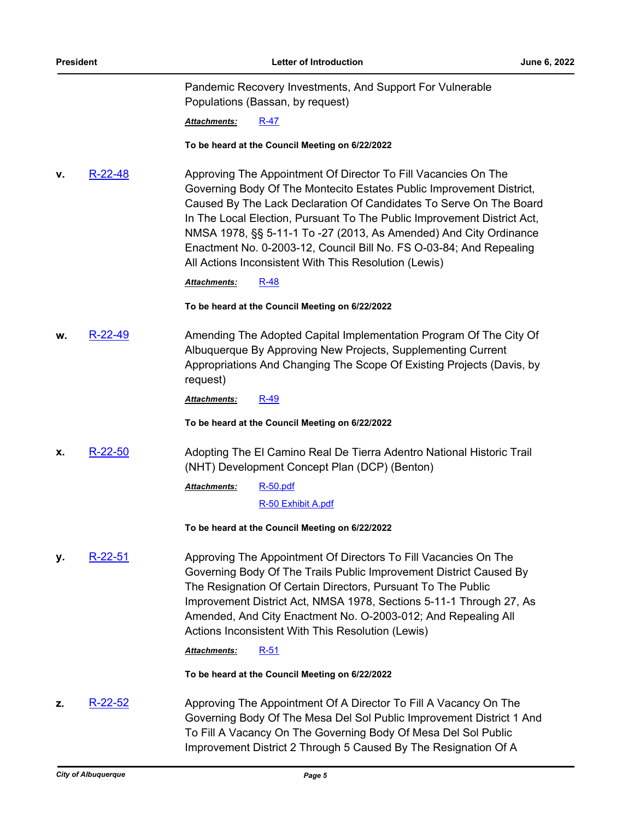Pandemic Recovery Investments, And Support For Vulnerable Populations (Bassan, by request)

*Attachments:* [R-47](http://cabq.legistar.com/gateway.aspx?M=F&ID=5a319efa-f8db-40a8-9f6f-046fab6e5d41.pdf)

#### **To be heard at the Council Meeting on 6/22/2022**

**v.** [R-22-48](http://cabq.legistar.com/gateway.aspx?m=l&id=/matter.aspx?key=12958) Approving The Appointment Of Director To Fill Vacancies On The Governing Body Of The Montecito Estates Public Improvement District, Caused By The Lack Declaration Of Candidates To Serve On The Board In The Local Election, Pursuant To The Public Improvement District Act, NMSA 1978, §§ 5-11-1 To -27 (2013, As Amended) And City Ordinance Enactment No. 0-2003-12, Council Bill No. FS O-03-84; And Repealing All Actions Inconsistent With This Resolution (Lewis)

*Attachments:* [R-48](http://cabq.legistar.com/gateway.aspx?M=F&ID=d138b053-5fcc-456e-8482-1f9a7559a946.pdf)

**To be heard at the Council Meeting on 6/22/2022**

**w.** [R-22-49](http://cabq.legistar.com/gateway.aspx?m=l&id=/matter.aspx?key=12963) Amending The Adopted Capital Implementation Program Of The City Of Albuquerque By Approving New Projects, Supplementing Current Appropriations And Changing The Scope Of Existing Projects (Davis, by request)

*Attachments:* [R-49](http://cabq.legistar.com/gateway.aspx?M=F&ID=41cddd54-df01-457b-96b7-30f52401416c.pdf)

**To be heard at the Council Meeting on 6/22/2022**

**x.** [R-22-50](http://cabq.legistar.com/gateway.aspx?m=l&id=/matter.aspx?key=12965) Adopting The El Camino Real De Tierra Adentro National Historic Trail (NHT) Development Concept Plan (DCP) (Benton)

> [R-50.pdf](http://cabq.legistar.com/gateway.aspx?M=F&ID=4c7561f2-2a31-4326-a65d-947ef4387471.pdf) *Attachments:*

> > [R-50 Exhibit A.pdf](http://cabq.legistar.com/gateway.aspx?M=F&ID=4d25f9e7-b381-4860-a7f4-963b47bdb507.pdf)

**To be heard at the Council Meeting on 6/22/2022**

**y.** [R-22-51](http://cabq.legistar.com/gateway.aspx?m=l&id=/matter.aspx?key=12967) Approving The Appointment Of Directors To Fill Vacancies On The Governing Body Of The Trails Public Improvement District Caused By The Resignation Of Certain Directors, Pursuant To The Public Improvement District Act, NMSA 1978, Sections 5-11-1 Through 27, As Amended, And City Enactment No. O-2003-012; And Repealing All Actions Inconsistent With This Resolution (Lewis)

*Attachments:* [R-51](http://cabq.legistar.com/gateway.aspx?M=F&ID=2b0339da-178c-49a9-966e-79f4cf28b7d0.pdf)

**To be heard at the Council Meeting on 6/22/2022**

**z.** [R-22-52](http://cabq.legistar.com/gateway.aspx?m=l&id=/matter.aspx?key=12968) Approving The Appointment Of A Director To Fill A Vacancy On The Governing Body Of The Mesa Del Sol Public Improvement District 1 And To Fill A Vacancy On The Governing Body Of Mesa Del Sol Public Improvement District 2 Through 5 Caused By The Resignation Of A